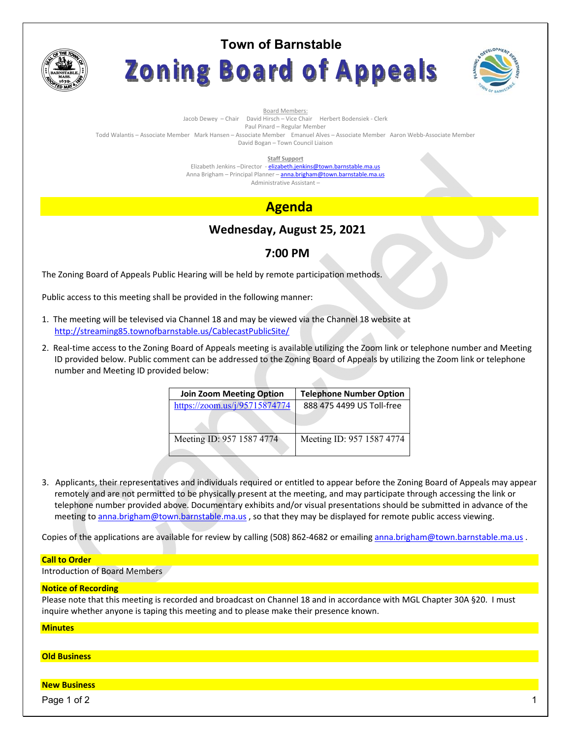

# **Town of Barnstable Zoning Board of Appeals**



Board Members:

Jacob Dewey – Chair David Hirsch – Vice Chair Herbert Bodensiek - Clerk

Paul Pinard – Regular Member

Todd Walantis – Associate Member Mark Hansen – Associate Member Emanuel Alves – Associate Member Aaron Webb-Associate Member David Bogan – Town Council Liaison

**Staff Support** 

Elizabeth Jenkins -Director - elizabeth.jenkins@town.barnstable.ma.us Anna Brigham – Principal Planner – **anna.brigham@town.barnstable.ma.us** Administrative Assistant –

## **Agenda**

## **Wednesday, August 25, 2021**

### **7:00 PM**

The Zoning Board of Appeals Public Hearing will be held by remote participation methods.

Public access to this meeting shall be provided in the following manner:

- 1. The meeting will be televised via Channel 18 and may be viewed via the Channel 18 website at http://streaming85.townofbarnstable.us/CablecastPublicSite/
- 2. Real-time access to the Zoning Board of Appeals meeting is available utilizing the Zoom link or telephone number and Meeting ID provided below. Public comment can be addressed to the Zoning Board of Appeals by utilizing the Zoom link or telephone number and Meeting ID provided below:

A

| <b>Join Zoom Meeting Option</b> | <b>Telephone Number Option</b> |
|---------------------------------|--------------------------------|
| https://zoom.us/j/95715874774   | 888 475 4499 US Toll-free      |
|                                 |                                |
| Meeting ID: 957 1587 4774       | Meeting ID: 957 1587 4774      |
|                                 |                                |

3. Applicants, their representatives and individuals required or entitled to appear before the Zoning Board of Appeals may appear remotely and are not permitted to be physically present at the meeting, and may participate through accessing the link or telephone number provided above. Documentary exhibits and/or visual presentations should be submitted in advance of the meeting to anna.brigham@town.barnstable.ma.us , so that they may be displayed for remote public access viewing.

Copies of the applications are available for review by calling (508) 862-4682 or emailing anna.brigham@town.barnstable.ma.us .

#### **Call to Order**

Introduction of Board Members

#### **Notice of Recording**

Please note that this meeting is recorded and broadcast on Channel 18 and in accordance with MGL Chapter 30A §20. I must inquire whether anyone is taping this meeting and to please make their presence known.

#### **Minutes**

#### **Old Business**

#### **New Business**

Page 1 of 2  $\hphantom{\ddots}$